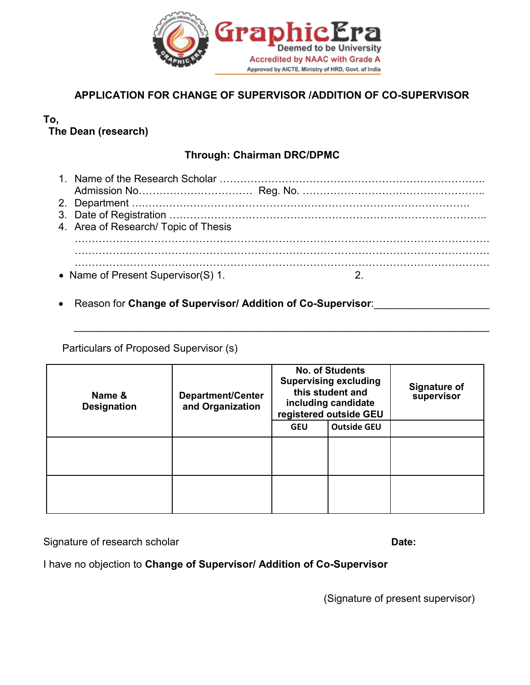

## **APPLICATION FOR CHANGE OF SUPERVISOR /ADDITION OF CO-SUPERVISOR**

## **To, The Dean (research)**

## **Through: Chairman DRC/DPMC**

| 4. Area of Research/ Topic of Thesis |  |
|--------------------------------------|--|
| • Name of Present Supervisor(S) 1.   |  |

 $\_$  , and the set of the set of the set of the set of the set of the set of the set of the set of the set of the set of the set of the set of the set of the set of the set of the set of the set of the set of the set of th

**Reason for Change of Supervisor/ Addition of Co-Supervisor:** 

Particulars of Proposed Supervisor (s)

| Name &<br><b>Designation</b> | Department/Center<br>and Organization | <b>No. of Students</b><br><b>Supervising excluding</b><br>this student and<br>including candidate<br>registered outside GEU |                    | <b>Signature of</b><br>supervisor |
|------------------------------|---------------------------------------|-----------------------------------------------------------------------------------------------------------------------------|--------------------|-----------------------------------|
|                              |                                       | <b>GEU</b>                                                                                                                  | <b>Outside GEU</b> |                                   |
|                              |                                       |                                                                                                                             |                    |                                   |
|                              |                                       |                                                                                                                             |                    |                                   |

Signature of research scholar **Date: Date: Date: Date: Date: Date: Date: Date: Date: Date: Date: Date: Date: Date: Date: Date: Date: Date: Date: Date: Date: Date: Date: Date:**

I have no objection to **Change of Supervisor/ Addition of Co-Supervisor**

(Signature of present supervisor)